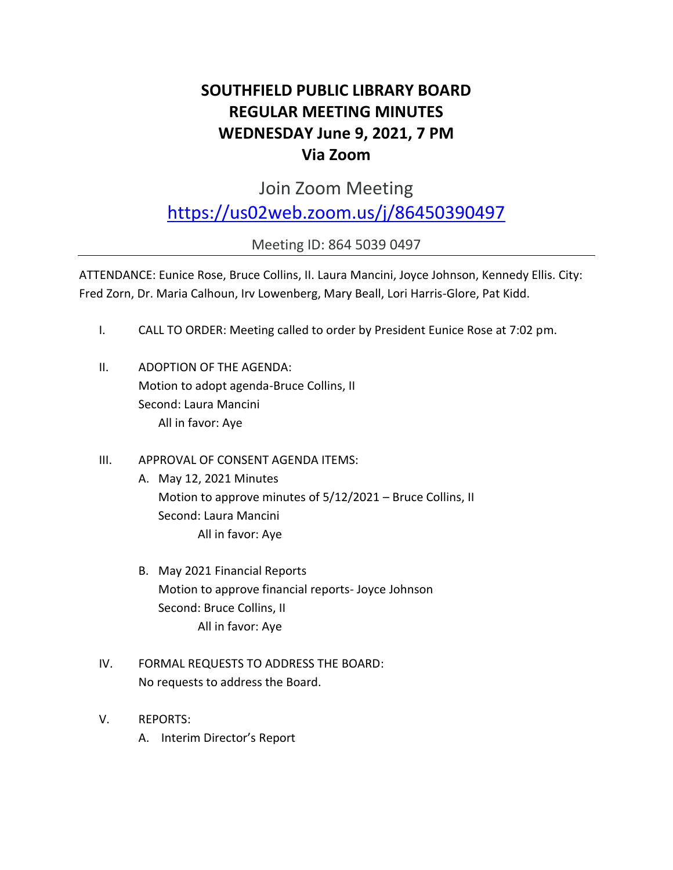# **SOUTHFIELD PUBLIC LIBRARY BOARD REGULAR MEETING MINUTES WEDNESDAY June 9, 2021, 7 PM Via Zoom**

Join Zoom Meeting

<https://us02web.zoom.us/j/86450390497>

Meeting ID: 864 5039 0497

ATTENDANCE: Eunice Rose, Bruce Collins, II. Laura Mancini, Joyce Johnson, Kennedy Ellis. City: Fred Zorn, Dr. Maria Calhoun, Irv Lowenberg, Mary Beall, Lori Harris-Glore, Pat Kidd.

- I. CALL TO ORDER: Meeting called to order by President Eunice Rose at 7:02 pm.
- II. ADOPTION OF THE AGENDA: Motion to adopt agenda-Bruce Collins, II Second: Laura Mancini All in favor: Aye
- III. APPROVAL OF CONSENT AGENDA ITEMS:
	- A. May 12, 2021 Minutes Motion to approve minutes of 5/12/2021 – Bruce Collins, II Second: Laura Mancini All in favor: Aye
	- B. May 2021 Financial Reports Motion to approve financial reports- Joyce Johnson Second: Bruce Collins, II All in favor: Aye
- IV. FORMAL REQUESTS TO ADDRESS THE BOARD: No requests to address the Board.
- V. REPORTS:
	- A. Interim Director's Report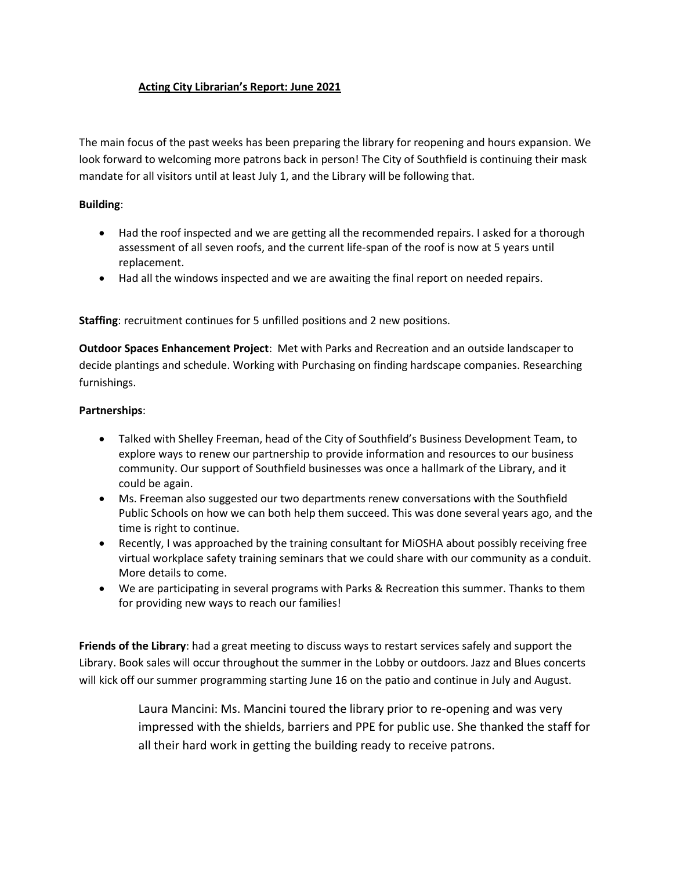#### **Acting City Librarian's Report: June 2021**

The main focus of the past weeks has been preparing the library for reopening and hours expansion. We look forward to welcoming more patrons back in person! The City of Southfield is continuing their mask mandate for all visitors until at least July 1, and the Library will be following that.

#### **Building**:

- Had the roof inspected and we are getting all the recommended repairs. I asked for a thorough assessment of all seven roofs, and the current life-span of the roof is now at 5 years until replacement.
- Had all the windows inspected and we are awaiting the final report on needed repairs.

**Staffing**: recruitment continues for 5 unfilled positions and 2 new positions.

**Outdoor Spaces Enhancement Project**: Met with Parks and Recreation and an outside landscaper to decide plantings and schedule. Working with Purchasing on finding hardscape companies. Researching furnishings.

#### **Partnerships**:

- Talked with Shelley Freeman, head of the City of Southfield's Business Development Team, to explore ways to renew our partnership to provide information and resources to our business community. Our support of Southfield businesses was once a hallmark of the Library, and it could be again.
- Ms. Freeman also suggested our two departments renew conversations with the Southfield Public Schools on how we can both help them succeed. This was done several years ago, and the time is right to continue.
- Recently, I was approached by the training consultant for MiOSHA about possibly receiving free virtual workplace safety training seminars that we could share with our community as a conduit. More details to come.
- We are participating in several programs with Parks & Recreation this summer. Thanks to them for providing new ways to reach our families!

**Friends of the Library**: had a great meeting to discuss ways to restart services safely and support the Library. Book sales will occur throughout the summer in the Lobby or outdoors. Jazz and Blues concerts will kick off our summer programming starting June 16 on the patio and continue in July and August.

> Laura Mancini: Ms. Mancini toured the library prior to re-opening and was very impressed with the shields, barriers and PPE for public use. She thanked the staff for all their hard work in getting the building ready to receive patrons.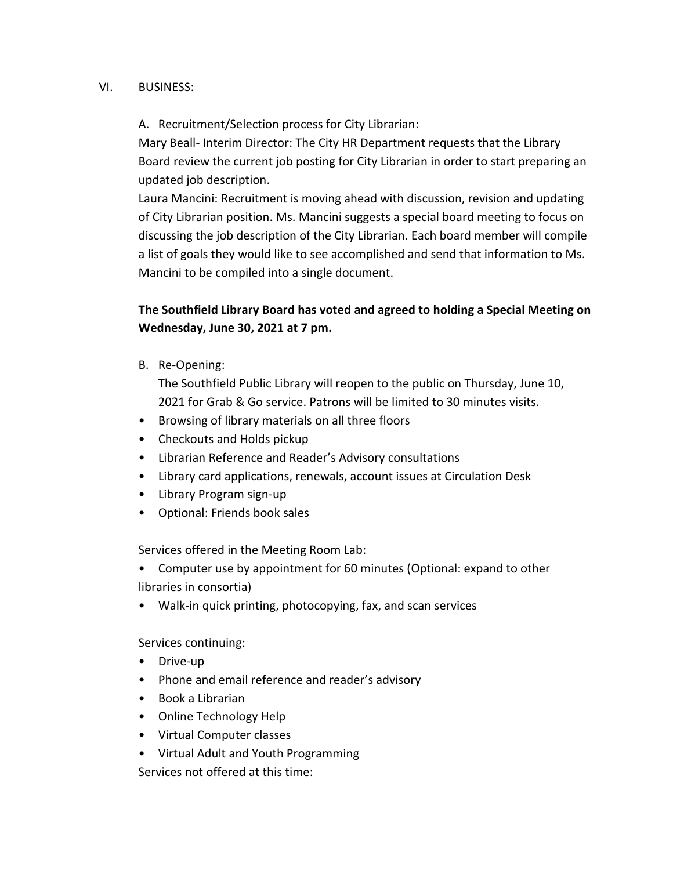#### VI. BUSINESS:

### A. Recruitment/Selection process for City Librarian:

Mary Beall- Interim Director: The City HR Department requests that the Library Board review the current job posting for City Librarian in order to start preparing an updated job description.

Laura Mancini: Recruitment is moving ahead with discussion, revision and updating of City Librarian position. Ms. Mancini suggests a special board meeting to focus on discussing the job description of the City Librarian. Each board member will compile a list of goals they would like to see accomplished and send that information to Ms. Mancini to be compiled into a single document.

# **The Southfield Library Board has voted and agreed to holding a Special Meeting on Wednesday, June 30, 2021 at 7 pm.**

B. Re-Opening:

The Southfield Public Library will reopen to the public on Thursday, June 10, 2021 for Grab & Go service. Patrons will be limited to 30 minutes visits.

- Browsing of library materials on all three floors
- Checkouts and Holds pickup
- Librarian Reference and Reader's Advisory consultations
- Library card applications, renewals, account issues at Circulation Desk
- Library Program sign-up
- Optional: Friends book sales

Services offered in the Meeting Room Lab:

• Computer use by appointment for 60 minutes (Optional: expand to other libraries in consortia)

• Walk-in quick printing, photocopying, fax, and scan services

Services continuing:

- Drive-up
- Phone and email reference and reader's advisory
- Book a Librarian
- Online Technology Help
- Virtual Computer classes
- Virtual Adult and Youth Programming

Services not offered at this time: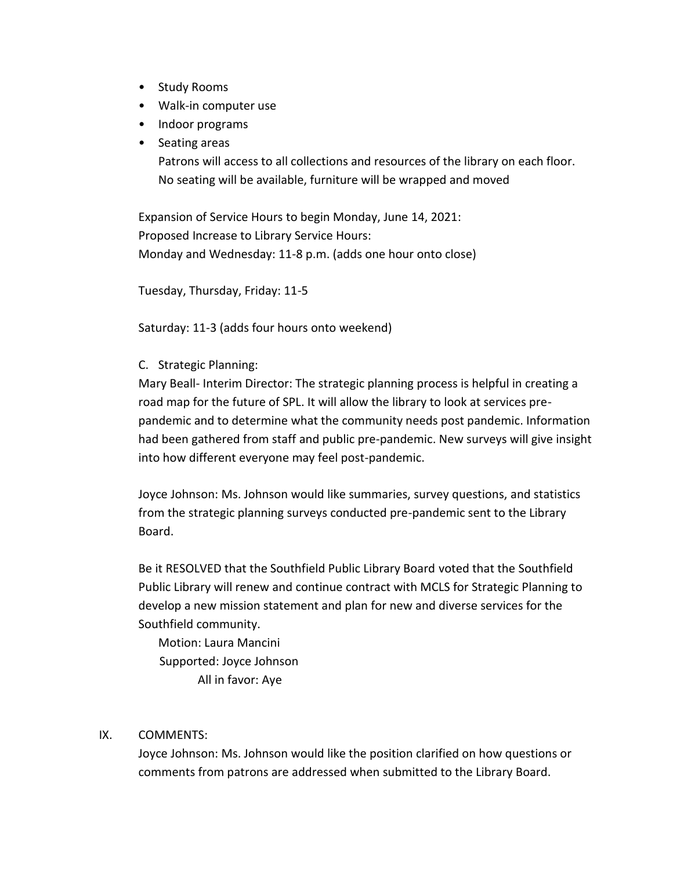- Study Rooms
- Walk-in computer use
- Indoor programs
- Seating areas

Patrons will access to all collections and resources of the library on each floor. No seating will be available, furniture will be wrapped and moved

Expansion of Service Hours to begin Monday, June 14, 2021: Proposed Increase to Library Service Hours: Monday and Wednesday: 11-8 p.m. (adds one hour onto close)

Tuesday, Thursday, Friday: 11-5

Saturday: 11-3 (adds four hours onto weekend)

C. Strategic Planning:

Mary Beall- Interim Director: The strategic planning process is helpful in creating a road map for the future of SPL. It will allow the library to look at services prepandemic and to determine what the community needs post pandemic. Information had been gathered from staff and public pre-pandemic. New surveys will give insight into how different everyone may feel post-pandemic.

Joyce Johnson: Ms. Johnson would like summaries, survey questions, and statistics from the strategic planning surveys conducted pre-pandemic sent to the Library Board.

Be it RESOLVED that the Southfield Public Library Board voted that the Southfield Public Library will renew and continue contract with MCLS for Strategic Planning to develop a new mission statement and plan for new and diverse services for the Southfield community.

Motion: Laura Mancini Supported: Joyce Johnson All in favor: Aye

## IX. COMMENTS:

Joyce Johnson: Ms. Johnson would like the position clarified on how questions or comments from patrons are addressed when submitted to the Library Board.